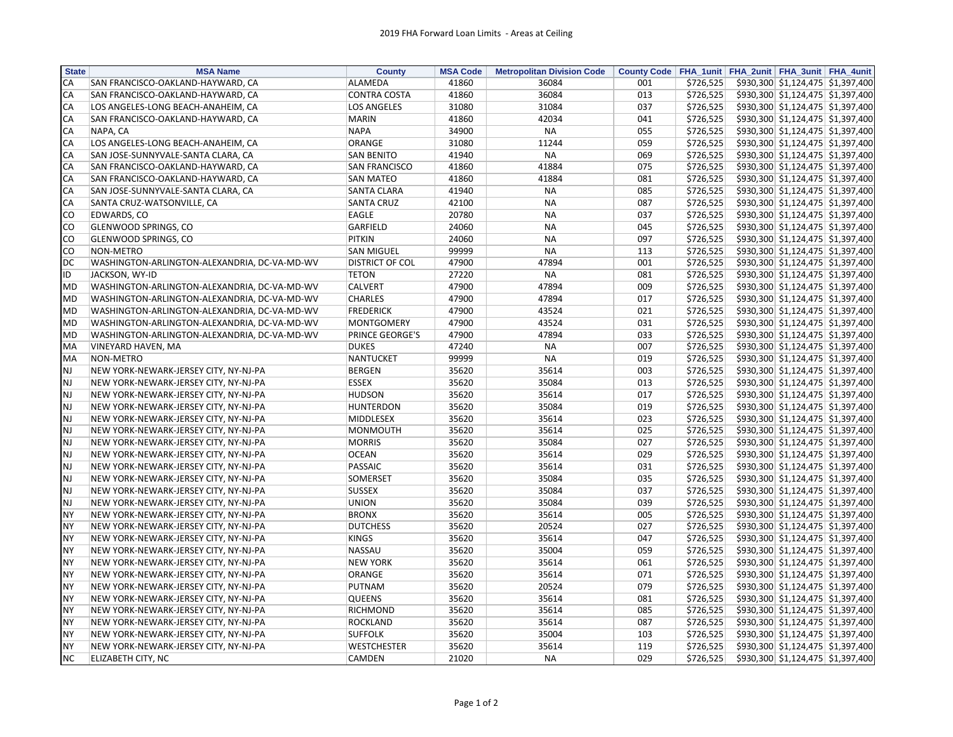| <b>State</b> | <b>MSA Name</b>                              | <b>County</b>          | <b>MSA Code</b> | <b>Metropolitan Division Code</b> |     |           | County Code   FHA_1unit   FHA_2unit   FHA_3unit   FHA_4unit            |
|--------------|----------------------------------------------|------------------------|-----------------|-----------------------------------|-----|-----------|------------------------------------------------------------------------|
| CA           | SAN FRANCISCO-OAKLAND-HAYWARD, CA            | ALAMEDA                | 41860           | 36084                             | 001 | \$726,525 | \$930,300 \$1,124,475 \$1,397,400                                      |
| CA           | SAN FRANCISCO-OAKLAND-HAYWARD, CA            | <b>CONTRA COSTA</b>    | 41860           | 36084                             | 013 | \$726,525 | \$930,300 \$1,124,475 \$1,397,400                                      |
| CA           | LOS ANGELES-LONG BEACH-ANAHEIM, CA           | <b>LOS ANGELES</b>     | 31080           | 31084                             | 037 | \$726,525 | \$930,300 \$1,124,475 \$1,397,400                                      |
| CA           | SAN FRANCISCO-OAKLAND-HAYWARD, CA            | <b>MARIN</b>           | 41860           | 42034                             | 041 | \$726,525 | \$930,300 \$1,124,475 \$1,397,400                                      |
| CA           | NAPA, CA                                     | <b>NAPA</b>            | 34900           | <b>NA</b>                         | 055 | \$726,525 | \$930,300 \$1,124,475 \$1,397,400                                      |
| CA           | LOS ANGELES-LONG BEACH-ANAHEIM, CA           | <b>ORANGE</b>          | 31080           | 11244                             | 059 | \$726,525 | \$930,300 \$1,124,475 \$1,397,400                                      |
| CA           | SAN JOSE-SUNNYVALE-SANTA CLARA, CA           | <b>SAN BENITO</b>      | 41940           | <b>NA</b>                         | 069 | \$726,525 | \$930,300 \$1,124,475 \$1,397,400                                      |
| CA           | SAN FRANCISCO-OAKLAND-HAYWARD, CA            | SAN FRANCISCO          | 41860           | 41884                             | 075 | \$726,525 | \$930,300 \$1,124,475 \$1,397,400                                      |
| CA           | SAN FRANCISCO-OAKLAND-HAYWARD, CA            | <b>SAN MATEO</b>       | 41860           | 41884                             | 081 | \$726,525 | \$930,300 \$1,124,475 \$1,397,400                                      |
| CA           | SAN JOSE-SUNNYVALE-SANTA CLARA, CA           | SANTA CLARA            | 41940           | <b>NA</b>                         | 085 | \$726,525 | \$930,300 \$1,124,475 \$1,397,400                                      |
| <b>CA</b>    | SANTA CRUZ-WATSONVILLE, CA                   | <b>SANTA CRUZ</b>      | 42100           | <b>NA</b>                         | 087 | \$726,525 | \$930,300 \$1,124,475 \$1,397,400                                      |
| CO           | EDWARDS, CO                                  | EAGLE                  | 20780           | <b>NA</b>                         | 037 | \$726,525 | \$930,300 \$1,124,475 \$1,397,400                                      |
| <b>CO</b>    | <b>GLENWOOD SPRINGS, CO</b>                  | GARFIELD               | 24060           | <b>NA</b>                         | 045 | \$726,525 | \$930,300 \$1,124,475 \$1,397,400                                      |
| CO           | <b>GLENWOOD SPRINGS, CO</b>                  | <b>PITKIN</b>          | 24060           | <b>NA</b>                         | 097 | \$726,525 | \$930,300 \$1,124,475 \$1,397,400                                      |
| <b>CO</b>    | NON-METRO                                    | <b>SAN MIGUEL</b>      | 99999           | <b>NA</b>                         | 113 | \$726,525 | \$930,300 \$1,124,475 \$1,397,400                                      |
| <b>DC</b>    | WASHINGTON-ARLINGTON-ALEXANDRIA, DC-VA-MD-WV | <b>DISTRICT OF COL</b> | 47900           | 47894                             | 001 | \$726,525 | \$930,300 \$1,124,475 \$1,397,400                                      |
| ID           | JACKSON, WY-ID                               | <b>TETON</b>           | 27220           | <b>NA</b>                         | 081 | \$726,525 | \$930,300 \$1,124,475 \$1,397,400                                      |
| <b>MD</b>    | WASHINGTON-ARLINGTON-ALEXANDRIA, DC-VA-MD-WV | <b>CALVERT</b>         | 47900           | 47894                             | 009 | \$726,525 | \$930,300 \$1,124,475 \$1,397,400                                      |
| <b>MD</b>    | WASHINGTON-ARLINGTON-ALEXANDRIA, DC-VA-MD-WV | <b>CHARLES</b>         | 47900           | 47894                             | 017 | \$726,525 | \$930,300 \$1,124,475 \$1,397,400                                      |
| <b>MD</b>    | WASHINGTON-ARLINGTON-ALEXANDRIA, DC-VA-MD-WV | <b>FREDERICK</b>       | 47900           | 43524                             | 021 | \$726,525 | \$930,300 \$1,124,475 \$1,397,400                                      |
| <b>MD</b>    | WASHINGTON-ARLINGTON-ALEXANDRIA, DC-VA-MD-WV | MONTGOMERY             | 47900           | 43524                             | 031 | \$726,525 | \$930,300 \$1,124,475 \$1,397,400                                      |
| <b>MD</b>    | WASHINGTON-ARLINGTON-ALEXANDRIA, DC-VA-MD-WV | PRINCE GEORGE'S        | 47900           | 47894                             | 033 | \$726,525 | \$930,300 \$1,124,475 \$1,397,400                                      |
| <b>MA</b>    | VINEYARD HAVEN, MA                           | <b>DUKES</b>           | 47240           | <b>NA</b>                         | 007 | \$726,525 | \$930,300 \$1,124,475 \$1,397,400                                      |
| MA           | NON-METRO                                    | <b>NANTUCKET</b>       | 99999           | <b>NA</b>                         | 019 | \$726,525 | \$930,300 \$1,124,475 \$1,397,400                                      |
| <b>NJ</b>    |                                              | <b>BERGEN</b>          | 35620           | 35614                             | 003 | \$726,525 | \$930,300 \$1,124,475 \$1,397,400                                      |
| <b>NJ</b>    | NEW YORK-NEWARK-JERSEY CITY, NY-NJ-PA        | <b>ESSEX</b>           | 35620           | 35084                             | 013 | \$726,525 | \$930,300 \$1,124,475 \$1,397,400                                      |
|              | NEW YORK-NEWARK-JERSEY CITY, NY-NJ-PA        |                        |                 |                                   |     |           |                                                                        |
| <b>NJ</b>    | NEW YORK-NEWARK-JERSEY CITY, NY-NJ-PA        | <b>HUDSON</b>          | 35620           | 35614                             | 017 | \$726,525 | \$930,300 \$1,124,475 \$1,397,400<br>\$930,300 \$1,124,475 \$1,397,400 |
| <b>NJ</b>    | NEW YORK-NEWARK-JERSEY CITY, NY-NJ-PA        | <b>HUNTERDON</b>       | 35620           | 35084                             | 019 | \$726,525 |                                                                        |
| <b>NJ</b>    | NEW YORK-NEWARK-JERSEY CITY, NY-NJ-PA        | MIDDLESEX              | 35620           | 35614                             | 023 | \$726,525 | \$930,300 \$1,124,475 \$1,397,400                                      |
| <b>NJ</b>    | NEW YORK-NEWARK-JERSEY CITY, NY-NJ-PA        | MONMOUTH               | 35620           | 35614                             | 025 | \$726,525 | \$930,300 \$1,124,475 \$1,397,400                                      |
| <b>NJ</b>    | NEW YORK-NEWARK-JERSEY CITY, NY-NJ-PA        | <b>MORRIS</b>          | 35620           | 35084                             | 027 | \$726,525 | \$930,300 \$1,124,475 \$1,397,400                                      |
| <b>NJ</b>    | NEW YORK-NEWARK-JERSEY CITY, NY-NJ-PA        | <b>OCEAN</b>           | 35620           | 35614                             | 029 | \$726,525 | \$930,300 \$1,124,475 \$1,397,400                                      |
| <b>NJ</b>    | NEW YORK-NEWARK-JERSEY CITY, NY-NJ-PA        | <b>PASSAIC</b>         | 35620           | 35614                             | 031 | \$726,525 | \$930,300 \$1,124,475 \$1,397,400                                      |
| <b>NJ</b>    | NEW YORK-NEWARK-JERSEY CITY, NY-NJ-PA        | SOMERSET               | 35620           | 35084                             | 035 | \$726,525 | \$930,300 \$1,124,475 \$1,397,400                                      |
| <b>NJ</b>    | NEW YORK-NEWARK-JERSEY CITY, NY-NJ-PA        | <b>SUSSEX</b>          | 35620           | 35084                             | 037 | \$726,525 | \$930,300 \$1,124,475 \$1,397,400                                      |
| <b>NJ</b>    | NEW YORK-NEWARK-JERSEY CITY, NY-NJ-PA        | <b>UNION</b>           | 35620           | 35084                             | 039 | \$726,525 | \$930,300 \$1,124,475 \$1,397,400                                      |
| <b>NY</b>    | NEW YORK-NEWARK-JERSEY CITY, NY-NJ-PA        | <b>BRONX</b>           | 35620           | 35614                             | 005 | \$726,525 | \$930,300 \$1,124,475 \$1,397,400                                      |
| <b>NY</b>    | NEW YORK-NEWARK-JERSEY CITY, NY-NJ-PA        | <b>DUTCHESS</b>        | 35620           | 20524                             | 027 | \$726,525 | \$930,300 \$1,124,475 \$1,397,400                                      |
| <b>NY</b>    | NEW YORK-NEWARK-JERSEY CITY, NY-NJ-PA        | <b>KINGS</b>           | 35620           | 35614                             | 047 | \$726,525 | \$930,300 \$1,124,475 \$1,397,400                                      |
| <b>NY</b>    | NEW YORK-NEWARK-JERSEY CITY, NY-NJ-PA        | <b>NASSAU</b>          | 35620           | 35004                             | 059 | \$726,525 | \$930,300 \$1,124,475 \$1,397,400                                      |
| <b>NY</b>    | NEW YORK-NEWARK-JERSEY CITY, NY-NJ-PA        | <b>NEW YORK</b>        | 35620           | 35614                             | 061 | \$726,525 | \$930,300 \$1,124,475 \$1,397,400                                      |
| <b>NY</b>    | NEW YORK-NEWARK-JERSEY CITY, NY-NJ-PA        | ORANGE                 | 35620           | 35614                             | 071 | \$726,525 | \$930,300 \$1,124,475 \$1,397,400                                      |
| <b>NY</b>    | NEW YORK-NEWARK-JERSEY CITY, NY-NJ-PA        | <b>PUTNAM</b>          | 35620           | 20524                             | 079 | \$726,525 | \$930,300 \$1,124,475 \$1,397,400                                      |
| <b>NY</b>    | NEW YORK-NEWARK-JERSEY CITY, NY-NJ-PA        | <b>QUEENS</b>          | 35620           | 35614                             | 081 | \$726,525 | \$930,300 \$1,124,475 \$1,397,400                                      |
| <b>NY</b>    | NEW YORK-NEWARK-JERSEY CITY, NY-NJ-PA        | RICHMOND               | 35620           | 35614                             | 085 | \$726,525 | \$930,300 \$1,124,475 \$1,397,400                                      |
| <b>NY</b>    | NEW YORK-NEWARK-JERSEY CITY, NY-NJ-PA        | <b>ROCKLAND</b>        | 35620           | 35614                             | 087 | \$726,525 | \$930,300 \$1,124,475 \$1,397,400                                      |
| <b>NY</b>    | NEW YORK-NEWARK-JERSEY CITY, NY-NJ-PA        | <b>SUFFOLK</b>         | 35620           | 35004                             | 103 | \$726,525 | \$930,300 \$1,124,475 \$1,397,400                                      |
| <b>NY</b>    | NEW YORK-NEWARK-JERSEY CITY, NY-NJ-PA        | <b>WESTCHESTER</b>     | 35620           | 35614                             | 119 | \$726,525 | \$930,300 \$1,124,475 \$1,397,400                                      |
| NC           | ELIZABETH CITY, NC                           | CAMDEN                 | 21020           | <b>NA</b>                         | 029 | \$726,525 | \$930,300 \$1,124,475 \$1,397,400                                      |